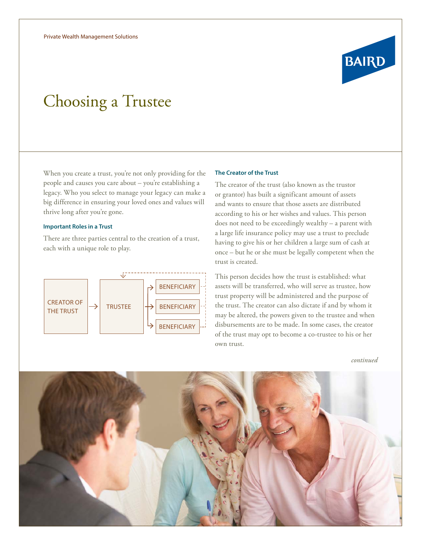# Choosing a Trustee

When you create a trust, you're not only providing for the people and causes you care about – you're establishing a legacy. Who you select to manage your legacy can make a big difference in ensuring your loved ones and values will thrive long after you're gone.

# **Important Roles in a Trust**

There are three parties central to the creation of a trust, each with a unique role to play.



#### **The Creator of the Trust**

The creator of the trust (also known as the trustor or grantor) has built a significant amount of assets and wants to ensure that those assets are distributed according to his or her wishes and values. This person does not need to be exceedingly wealthy – a parent with a large life insurance policy may use a trust to preclude having to give his or her children a large sum of cash at once – but he or she must be legally competent when the trust is created.

This person decides how the trust is established: what assets will be transferred, who will serve as trustee, how trust property will be administered and the purpose of the trust. The creator can also dictate if and by whom it may be altered, the powers given to the trustee and when disbursements are to be made. In some cases, the creator of the trust may opt to become a co-trustee to his or her own trust.

*continued*



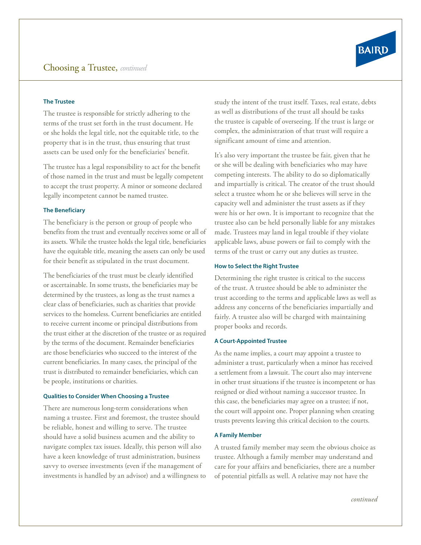

# **The Trustee**

The trustee is responsible for strictly adhering to the terms of the trust set forth in the trust document. He or she holds the legal title, not the equitable title, to the property that is in the trust, thus ensuring that trust assets can be used only for the beneficiaries' benefit.

The trustee has a legal responsibility to act for the benefit of those named in the trust and must be legally competent to accept the trust property. A minor or someone declared legally incompetent cannot be named trustee.

#### **The Beneficiary**

The beneficiary is the person or group of people who benefits from the trust and eventually receives some or all of its assets. While the trustee holds the legal title, beneficiaries have the equitable title, meaning the assets can only be used for their benefit as stipulated in the trust document.

The beneficiaries of the trust must be clearly identified or ascertainable. In some trusts, the beneficiaries may be determined by the trustees, as long as the trust names a clear class of beneficiaries, such as charities that provide services to the homeless. Current beneficiaries are entitled to receive current income or principal distributions from the trust either at the discretion of the trustee or as required by the terms of the document. Remainder beneficiaries are those beneficiaries who succeed to the interest of the current beneficiaries. In many cases, the principal of the trust is distributed to remainder beneficiaries, which can be people, institutions or charities.

#### **Qualities to Consider When Choosing a Trustee**

There are numerous long-term considerations when naming a trustee. First and foremost, the trustee should be reliable, honest and willing to serve. The trustee should have a solid business acumen and the ability to navigate complex tax issues. Ideally, this person will also have a keen knowledge of trust administration, business savvy to oversee investments (even if the management of investments is handled by an advisor) and a willingness to study the intent of the trust itself. Taxes, real estate, debts as well as distributions of the trust all should be tasks the trustee is capable of overseeing. If the trust is large or complex, the administration of that trust will require a significant amount of time and attention.

It's also very important the trustee be fair, given that he or she will be dealing with beneficiaries who may have competing interests. The ability to do so diplomatically and impartially is critical. The creator of the trust should select a trustee whom he or she believes will serve in the capacity well and administer the trust assets as if they were his or her own. It is important to recognize that the trustee also can be held personally liable for any mistakes made. Trustees may land in legal trouble if they violate applicable laws, abuse powers or fail to comply with the terms of the trust or carry out any duties as trustee.

#### **How to Select the Right Trustee**

Determining the right trustee is critical to the success of the trust. A trustee should be able to administer the trust according to the terms and applicable laws as well as address any concerns of the beneficiaries impartially and fairly. A trustee also will be charged with maintaining proper books and records.

#### **A Court-Appointed Trustee**

As the name implies, a court may appoint a trustee to administer a trust, particularly when a minor has received a settlement from a lawsuit. The court also may intervene in other trust situations if the trustee is incompetent or has resigned or died without naming a successor trustee. In this case, the beneficiaries may agree on a trustee; if not, the court will appoint one. Proper planning when creating trusts prevents leaving this critical decision to the courts.

#### **A Family Member**

A trusted family member may seem the obvious choice as trustee. Although a family member may understand and care for your affairs and beneficiaries, there are a number of potential pitfalls as well. A relative may not have the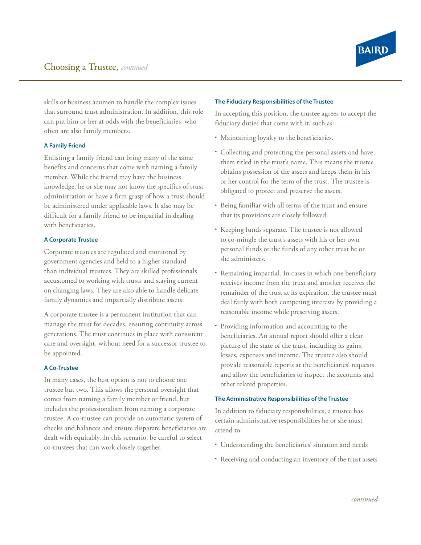

skills or business acumen to handle the complex issues that surround trust administration. In addition, this role can put him or her at odds with the beneficiaries, who often are also family members.

# **A Family Friend**

Enlisting a family friend can bring many of the same benefits and concerns that come with naming a family member. While the friend may have the business knowledge, he or she may not know the specifics of trust administration or have a firm grasp of how a trust should be administered under applicable laws. It also may be difficult for a family friend to be impartial in dealing with beneficiaries.

# **A Corporate Trustee**

Corporate trustees are regulated and monitored by government agencies and held to a higher standard than individual trustees. They are skilled professionals accustomed to working with trusts and staying current on changing laws. They are also able to handle delicate family dynamics and impartially distribute assets.

A corporate trustee is a permanent institution that can manage the trust for decades, ensuring continuity across generations. The trust continues in place with consistent care and oversight, without need for a successor trustee to be appointed.

# **A Co-Trustee**

In many cases, the best option is not to choose one trustee but two. This allows the personal oversight that comes from naming a family member or friend, but includes the professionalism from naming a corporate trustee. A co-trustee can provide an automatic system of checks and balances and ensure disparate beneficiaries are dealt with equitably. In this scenario, be careful to select co-trustees that can work closely together.

#### **The Fiduciary Responsibilities of the Trustee**

In accepting this position, the trustee agrees to accept the fiduciary duties that come with it, such as:

- Maintaining loyalty to the beneficiaries.
- Collecting and protecting the personal assets and have them titled in the trust's name. This means the trustee obtains possession of the assets and keeps them in his or her control for the term of the trust. The trustee is obligated to protect and preserve the assets.
- Being familiar with all terms of the trust and ensure that its provisions are closely followed.
- Keeping funds separate. The trustee is not allowed to co-mingle the trust's assets with his or her own personal funds or the funds of any other trust he or she administers.
- Remaining impartial. In cases in which one beneficiary receives income from the trust and another receives the remainder of the trust at its expiration, the trustee must deal fairly with both competing interests by providing a reasonable income while preserving assets.
- Providing information and accounting to the beneficiaries. An annual report should offer a clear picture of the state of the trust, including its gains, losses, expenses and income. The trustee also should provide reasonable reports at the beneficiaries' requests and allow the beneficiaries to inspect the accounts and other related properties.

# **The Administrative Responsibilities of the Trustee**

In addition to fiduciary responsibilities, a trustee has certain administrative responsibilities he or she must attend to:

- Understanding the beneficiaries' situation and needs
- Receiving and conducting an inventory of the trust assets